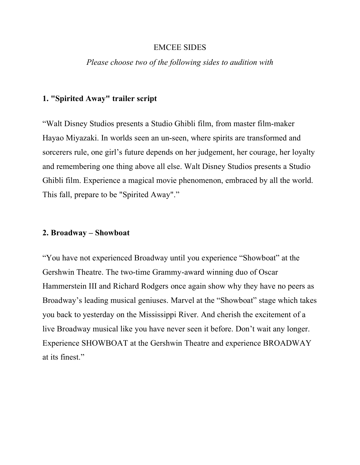#### EMCEE SIDES

#### *Please choose two of the following sides to audition with*

# 1. "Spirited Away" trailer script

"Walt Disney Studios presents a Studio Ghibli film, from master film-maker Hayao Miyazaki. In worlds seen an un-seen, where spirits are transformed and sorcerers rule, one girl's future depends on her judgement, her courage, her loyalty and remembering one thing above all else. Walt Disney Studios presents a Studio Ghibli film. Experience a magical movie phenomenon, embraced by all the world. This fall, prepare to be "Spirited Away"."

#### 2. Broadway – Showboat

"You have not experienced Broadway until you experience "Showboat" at the Gershwin Theatre. The two-time Grammy-award winning duo of Oscar Hammerstein III and Richard Rodgers once again show why they have no peers as Broadway's leading musical geniuses. Marvel at the "Showboat" stage which takes you back to yesterday on the Mississippi River. And cherish the excitement of a live Broadway musical like you have never seen it before. Don't wait any longer. Experience SHOWBOAT at the Gershwin Theatre and experience BROADWAY at its finest."